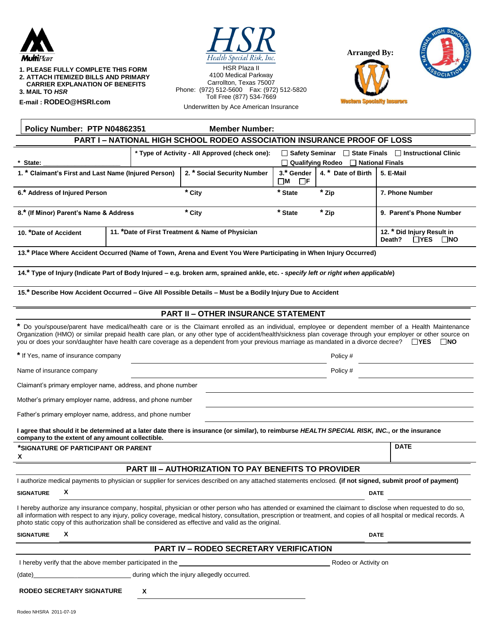

| <b>1. PLEASE FULLY COMPLETE THIS FORM</b> |  |
|-------------------------------------------|--|
| 2. ATTACH ITEMIZED BILLS AND PRIMARY      |  |
| <b>CARRIER EXPLANATION OF BENEFITS</b>    |  |

**3. MAIL TO** *HSR*

**E-mail : [RODEO@HSRI.com](mailto:RODEO@HSRI.com)**



HSR Plaza II 4100 Medical Parkway Carrollton, Texas 75007 Phone: (972) 512-5600 Fax: (972) 512-5820 Toll Free (877) 534-7669 Underwritten by Ace American Insurance





**DATE**

Policy Number: PTP N04862351 Member Number: **PART I – NATIONAL HIGH SCHOOL RODEO ASSOCIATION INSURANCE PROOF OF LOSS**

|                                                      |                                                  | * Type of Activity - All Approved (check one): |                                                | $\Box$ Safety Seminar $\Box$ State Finals $\Box$ Instructional Clinic |                          |  |
|------------------------------------------------------|--------------------------------------------------|------------------------------------------------|------------------------------------------------|-----------------------------------------------------------------------|--------------------------|--|
| * State:                                             |                                                  |                                                | $\Box$ Qualifying Rodeo $\Box$ National Finals |                                                                       |                          |  |
| 1. * Claimant's First and Last Name (Injured Person) |                                                  | 2. * Social Security Number                    | 3.* Gender<br>ΠΜ<br>□Ϝ                         | 4. * Date of Birth                                                    | 5. E-Mail                |  |
| 6.* Address of Injured Person                        |                                                  | * City                                         | * State                                        | * Zip                                                                 | 7. Phone Number          |  |
| 8.* (If Minor) Parent's Name & Address               |                                                  | * City                                         | * State                                        | * Zip                                                                 | 9. Parent's Phone Number |  |
| 10. *Date of Accident                                | 11. *Date of First Treatment & Name of Physician |                                                |                                                | 12. * Did Injury Result in<br>$\Box$ YES<br>⊟NO<br>Death?             |                          |  |

**13.\* Place Where Accident Occurred (Name of Town, Arena and Event You Were Participating in When Injury Occurred)**

**14.\* Type of Injury (Indicate Part of Body Injured – e.g. broken arm, sprained ankle, etc. -** *specify left or right when applicable***)** 

**15.\* Describe How Accident Occurred – Give All Possible Details – Must be a Bodily Injury Due to Accident**

#### **PART II – OTHER INSURANCE STATEMENT**

**\*** Do you/spouse/parent have medical/health care or is the Claimant enrolled as an individual, employee or dependent member of a Health Maintenance Organization (HMO) or similar prepaid health care plan, or any other type of accident/health/sickness plan coverage through your employer or other source on you or does your son/daughter have health care coverage as a dependent from your previous marriage as mandated in a divorce decree?  $\Box$ YES  $\Box$ NO

**\*** If Yes, name of insurance company Policy #

Name of insurance company **Policy #** Policy #  $\blacksquare$ 

Claimant's primary employer name, address, and phone number

Mother's primary employer name, address, and phone number

Father's primary employer name, address, and phone number

**I agree that should it be determined at a later date there is insurance (or similar), to reimburse** *HEALTH SPECIAL RISK, INC.***, or the insurance company to the extent of any amount collectible.**

**\*SIGNATURE OF PARTICIPANT OR PARENT X**

# **PART III – AUTHORIZATION TO PAY BENEFITS TO PROVIDER**

|                                                                                                                                                                                                                                |                                                                                                     | I authorize medical payments to physician or supplier for services described on any attached statements enclosed. (if not signed, submit proof of payment)                                                                                                                                                                              |  |  |
|--------------------------------------------------------------------------------------------------------------------------------------------------------------------------------------------------------------------------------|-----------------------------------------------------------------------------------------------------|-----------------------------------------------------------------------------------------------------------------------------------------------------------------------------------------------------------------------------------------------------------------------------------------------------------------------------------------|--|--|
| <b>SIGNATURE</b>                                                                                                                                                                                                               | X                                                                                                   | <b>DATE</b>                                                                                                                                                                                                                                                                                                                             |  |  |
|                                                                                                                                                                                                                                | photo static copy of this authorization shall be considered as effective and valid as the original. | I hereby authorize any insurance company, hospital, physician or other person who has attended or examined the claimant to disclose when requested to do so,<br>all information with respect to any injury, policy coverage, medical history, consultation, prescription or treatment, and copies of all hospital or medical records. A |  |  |
| <b>SIGNATURE</b>                                                                                                                                                                                                               | X                                                                                                   | <b>DATE</b>                                                                                                                                                                                                                                                                                                                             |  |  |
|                                                                                                                                                                                                                                | <b>PART IV – RODEO SECRETARY VERIFICATION</b>                                                       |                                                                                                                                                                                                                                                                                                                                         |  |  |
|                                                                                                                                                                                                                                | I hereby verify that the above member participated in the                                           | Rodeo or Activity on                                                                                                                                                                                                                                                                                                                    |  |  |
| (date) and the control of the control of the control of the control of the control of the control of the control of the control of the control of the control of the control of the control of the control of the control of t | during which the injury allegedly occurred.                                                         |                                                                                                                                                                                                                                                                                                                                         |  |  |
|                                                                                                                                                                                                                                | <b>RODEO SECRETARY SIGNATURE</b><br>х                                                               |                                                                                                                                                                                                                                                                                                                                         |  |  |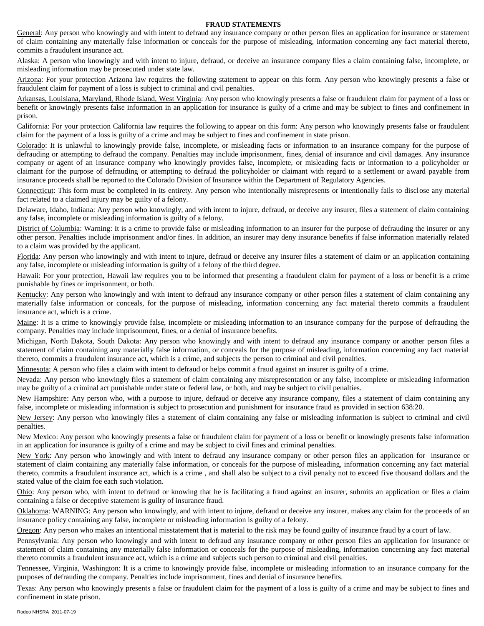#### **FRAUD STATEMENTS**

General: Any person who knowingly and with intent to defraud any insurance company or other person files an application for insurance or statement of claim containing any materially false information or conceals for the purpose of misleading, information concerning any fact material thereto, commits a fraudulent insurance act.

Alaska: A person who knowingly and with intent to injure, defraud, or deceive an insurance company files a claim containing false, incomplete, or misleading information may be prosecuted under state law.

Arizona: For your protection Arizona law requires the following statement to appear on this form. Any person who knowingly presents a false or fraudulent claim for payment of a loss is subject to criminal and civil penalties.

Arkansas, Louisiana, Maryland, Rhode Island, West Virginia: Any person who knowingly presents a false or fraudulent claim for payment of a loss or benefit or knowingly presents false information in an application for insurance is guilty of a crime and may be subject to fines and confinement in prison.

California: For your protection California law requires the following to appear on this form: Any person who knowingly presents false or fraudulent claim for the payment of a loss is guilty of a crime and may be subject to fines and confinement in state prison.

Colorado: It is unlawful to knowingly provide false, incomplete, or misleading facts or information to an insurance company for the purpose of defrauding or attempting to defraud the company. Penalties may include imprisonment, fines, denial of insurance and civil damages. Any insurance company or agent of an insurance company who knowingly provides false, incomplete, or misleading facts or information to a policyholder or claimant for the purpose of defrauding or attempting to defraud the policyholder or claimant with regard to a settlement or award payable from insurance proceeds shall be reported to the Colorado Division of Insurance within the Department of Regulatory Agencies.

Connecticut: This form must be completed in its entirety. Any person who intentionally misrepresents or intentionally fails to disclose any material fact related to a claimed injury may be guilty of a felony.

Delaware, Idaho, Indiana: Any person who knowingly, and with intent to injure, defraud, or deceive any insurer, files a statement of claim containing any false, incomplete or misleading information is guilty of a felony.

District of Columbia: Warning: It is a crime to provide false or misleading information to an insurer for the purpose of defrauding the insurer or any other person. Penalties include imprisonment and/or fines. In addition, an insurer may deny insurance benefits if false information materially related to a claim was provided by the applicant.

Florida: Any person who knowingly and with intent to injure, defraud or deceive any insurer files a statement of claim or an application containing any false, incomplete or misleading information is guilty of a felony of the third degree.

Hawaii: For your protection, Hawaii law requires you to be informed that presenting a fraudulent claim for payment of a loss or benefit is a crime punishable by fines or imprisonment, or both.

Kentucky: Any person who knowingly and with intent to defraud any insurance company or other person files a statement of claim containing any materially false information or conceals, for the purpose of misleading, information concerning any fact material thereto commits a fraudulent insurance act, which is a crime.

Maine: It is a crime to knowingly provide false, incomplete or misleading information to an insurance company for the purpose of defrauding the company. Penalties may include imprisonment, fines, or a denial of insurance benefits.

Michigan, North Dakota, South Dakota: Any person who knowingly and with intent to defraud any insurance company or another person files a statement of claim containing any materially false information, or conceals for the purpose of misleading, information concerning any fact material thereto, commits a fraudulent insurance act, which is a crime, and subjects the person to criminal and civil penalties.

Minnesota; A person who files a claim with intent to defraud or helps commit a fraud against an insurer is guilty of a crime.

Nevada: Any person who knowingly files a statement of claim containing any misrepresentation or any false, incomplete or misleading information may be guilty of a criminal act punishable under state or federal law, or both, and may be subject to civil penalties.

New Hampshire: Any person who, with a purpose to injure, defraud or deceive any insurance company, files a statement of claim containing any false, incomplete or misleading information is subject to prosecution and punishment for insurance fraud as provided in section 638:20.

New Jersey: Any person who knowingly files a statement of claim containing any false or misleading information is subject to criminal and civil penalties.

New Mexico: Any person who knowingly presents a false or fraudulent claim for payment of a loss or benefit or knowingly presents false information in an application for insurance is guilty of a crime and may be subject to civil fines and criminal penalties.

New York: Any person who knowingly and with intent to defraud any insurance company or other person files an application for insurance or statement of claim containing any materially false information, or conceals for the purpose of misleading, information concerning any fact material thereto, commits a fraudulent insurance act, which is a crime , and shall also be subject to a civil penalty not to exceed five thousand dollars and the stated value of the claim foe each such violation.

Ohio: Any person who, with intent to defraud or knowing that he is facilitating a fraud against an insurer, submits an application or files a claim containing a false or deceptive statement is guilty of insurance fraud.

Oklahoma: WARNING: Any person who knowingly, and with intent to injure, defraud or deceive any insurer, makes any claim for the proceeds of an insurance policy containing any false, incomplete or misleading information is guilty of a felony.

Oregon: Any person who makes an intentional misstatement that is material to the risk may be found guilty of insurance fraud by a court of law.

Pennsylvania: Any person who knowingly and with intent to defraud any insurance company or other person files an application for insurance or statement of claim containing any materially false information or conceals for the purpose of misleading, information concerning any fact material thereto commits a fraudulent insurance act, which is a crime and subjects such person to criminal and civil penalties.

Tennessee, Virginia, Washington: It is a crime to knowingly provide false, incomplete or misleading information to an insurance company for the purposes of defrauding the company. Penalties include imprisonment, fines and denial of insurance benefits.

Texas: Any person who knowingly presents a false or fraudulent claim for the payment of a loss is guilty of a crime and may be subject to fines and confinement in state prison.